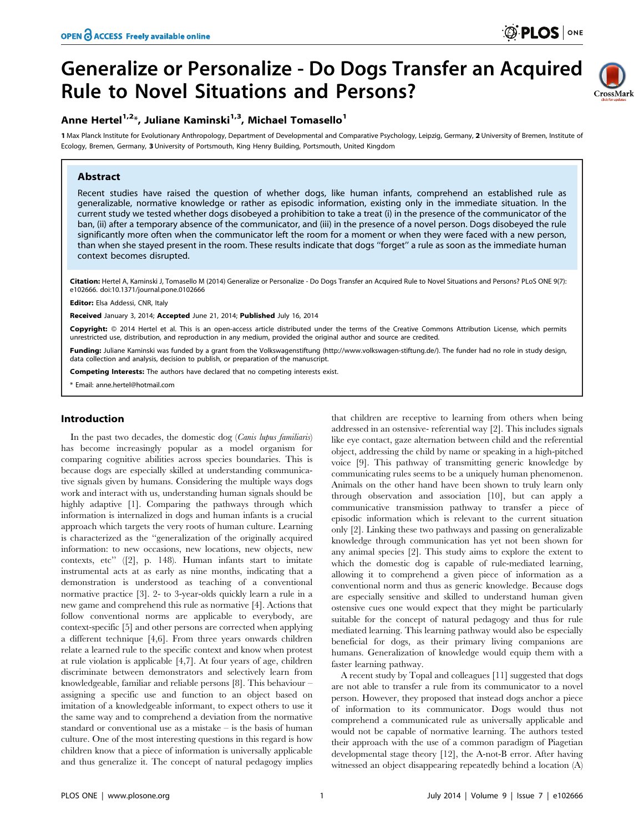CrossMark

# Generalize or Personalize - Do Dogs Transfer an Acquired Rule to Novel Situations and Persons?

# Anne Hertel<sup>1,2\*</sup>, Juliane Kaminski<sup>1,3</sup>, Michael Tomasello<sup>1</sup>

1 Max Planck Institute for Evolutionary Anthropology, Department of Developmental and Comparative Psychology, Leipzig, Germany, 2 University of Bremen, Institute of Ecology, Bremen, Germany, 3 University of Portsmouth, King Henry Building, Portsmouth, United Kingdom

# Abstract

Recent studies have raised the question of whether dogs, like human infants, comprehend an established rule as generalizable, normative knowledge or rather as episodic information, existing only in the immediate situation. In the current study we tested whether dogs disobeyed a prohibition to take a treat (i) in the presence of the communicator of the ban, (ii) after a temporary absence of the communicator, and (iii) in the presence of a novel person. Dogs disobeyed the rule significantly more often when the communicator left the room for a moment or when they were faced with a new person, than when she stayed present in the room. These results indicate that dogs ''forget'' a rule as soon as the immediate human context becomes disrupted.

Citation: Hertel A, Kaminski J, Tomasello M (2014) Generalize or Personalize - Do Dogs Transfer an Acquired Rule to Novel Situations and Persons? PLoS ONE 9(7): e102666. doi:10.1371/journal.pone.0102666

Editor: Elsa Addessi, CNR, Italy

Received January 3, 2014; Accepted June 21, 2014; Published July 16, 2014

Copyright: @ 2014 Hertel et al. This is an open-access article distributed under the terms of the [Creative Commons Attribution License](http://creativecommons.org/licenses/by/4.0/), which permits unrestricted use, distribution, and reproduction in any medium, provided the original author and source are credited.

Funding: Juliane Kaminski was funded by a grant from the Volkswagenstiftung (<http://www.volkswagen-stiftung.de/>). The funder had no role in study design, data collection and analysis, decision to publish, or preparation of the manuscript.

Competing Interests: The authors have declared that no competing interests exist.

\* Email: anne.hertel@hotmail.com

## Introduction

In the past two decades, the domestic dog (Canis lupus familiaris) has become increasingly popular as a model organism for comparing cognitive abilities across species boundaries. This is because dogs are especially skilled at understanding communicative signals given by humans. Considering the multiple ways dogs work and interact with us, understanding human signals should be highly adaptive [1]. Comparing the pathways through which information is internalized in dogs and human infants is a crucial approach which targets the very roots of human culture. Learning is characterized as the ''generalization of the originally acquired information: to new occasions, new locations, new objects, new contexts, etc'' ([2], p. 148). Human infants start to imitate instrumental acts at as early as nine months, indicating that a demonstration is understood as teaching of a conventional normative practice [3]. 2- to 3-year-olds quickly learn a rule in a new game and comprehend this rule as normative [4]. Actions that follow conventional norms are applicable to everybody, are context-specific [5] and other persons are corrected when applying a different technique [4,6]. From three years onwards children relate a learned rule to the specific context and know when protest at rule violation is applicable [4,7]. At four years of age, children discriminate between demonstrators and selectively learn from knowledgeable, familiar and reliable persons [8]. This behaviour – assigning a specific use and function to an object based on imitation of a knowledgeable informant, to expect others to use it the same way and to comprehend a deviation from the normative standard or conventional use as a mistake – is the basis of human culture. One of the most interesting questions in this regard is how children know that a piece of information is universally applicable and thus generalize it. The concept of natural pedagogy implies

that children are receptive to learning from others when being addressed in an ostensive- referential way [2]. This includes signals like eye contact, gaze alternation between child and the referential object, addressing the child by name or speaking in a high-pitched voice [9]. This pathway of transmitting generic knowledge by communicating rules seems to be a uniquely human phenomenon. Animals on the other hand have been shown to truly learn only through observation and association [10], but can apply a communicative transmission pathway to transfer a piece of episodic information which is relevant to the current situation only [2]. Linking these two pathways and passing on generalizable knowledge through communication has yet not been shown for any animal species [2]. This study aims to explore the extent to which the domestic dog is capable of rule-mediated learning, allowing it to comprehend a given piece of information as a conventional norm and thus as generic knowledge. Because dogs are especially sensitive and skilled to understand human given ostensive cues one would expect that they might be particularly suitable for the concept of natural pedagogy and thus for rule mediated learning. This learning pathway would also be especially beneficial for dogs, as their primary living companions are humans. Generalization of knowledge would equip them with a faster learning pathway.

A recent study by Topal and colleagues [11] suggested that dogs are not able to transfer a rule from its communicator to a novel person. However, they proposed that instead dogs anchor a piece of information to its communicator. Dogs would thus not comprehend a communicated rule as universally applicable and would not be capable of normative learning. The authors tested their approach with the use of a common paradigm of Piagetian developmental stage theory [12], the A-not-B error. After having witnessed an object disappearing repeatedly behind a location (A)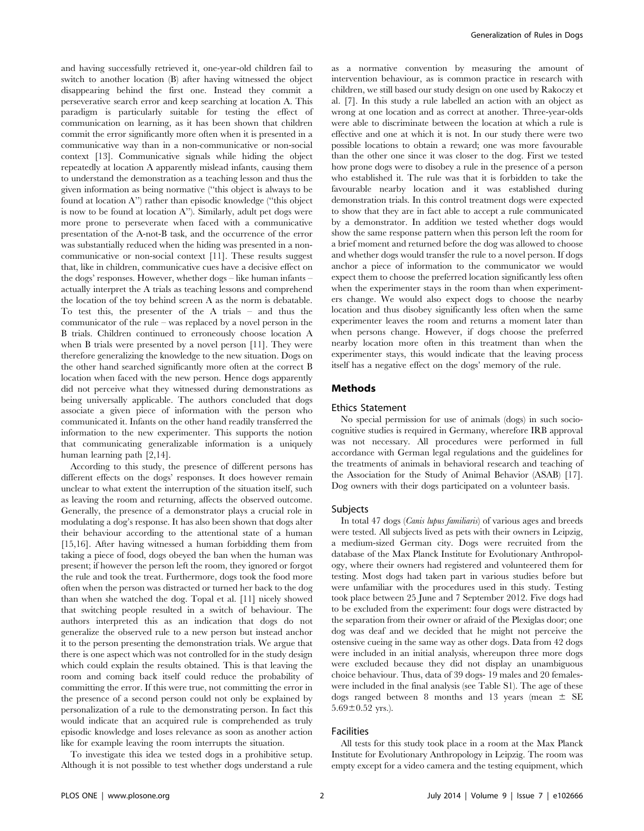and having successfully retrieved it, one-year-old children fail to switch to another location (B) after having witnessed the object disappearing behind the first one. Instead they commit a perseverative search error and keep searching at location A. This paradigm is particularly suitable for testing the effect of communication on learning, as it has been shown that children commit the error significantly more often when it is presented in a communicative way than in a non-communicative or non-social context [13]. Communicative signals while hiding the object repeatedly at location A apparently mislead infants, causing them to understand the demonstration as a teaching lesson and thus the given information as being normative (''this object is always to be found at location A'') rather than episodic knowledge (''this object is now to be found at location A''). Similarly, adult pet dogs were more prone to perseverate when faced with a communicative presentation of the A-not-B task, and the occurrence of the error was substantially reduced when the hiding was presented in a noncommunicative or non-social context [11]. These results suggest that, like in children, communicative cues have a decisive effect on the dogs' responses. However, whether dogs – like human infants – actually interpret the A trials as teaching lessons and comprehend the location of the toy behind screen A as the norm is debatable. To test this, the presenter of the A trials – and thus the communicator of the rule – was replaced by a novel person in the B trials. Children continued to erroneously choose location A when B trials were presented by a novel person [11]. They were therefore generalizing the knowledge to the new situation. Dogs on the other hand searched significantly more often at the correct B location when faced with the new person. Hence dogs apparently did not perceive what they witnessed during demonstrations as being universally applicable. The authors concluded that dogs associate a given piece of information with the person who communicated it. Infants on the other hand readily transferred the information to the new experimenter. This supports the notion that communicating generalizable information is a uniquely human learning path [2,14].

According to this study, the presence of different persons has different effects on the dogs' responses. It does however remain unclear to what extent the interruption of the situation itself, such as leaving the room and returning, affects the observed outcome. Generally, the presence of a demonstrator plays a crucial role in modulating a dog's response. It has also been shown that dogs alter their behaviour according to the attentional state of a human [15,16]. After having witnessed a human forbidding them from taking a piece of food, dogs obeyed the ban when the human was present; if however the person left the room, they ignored or forgot the rule and took the treat. Furthermore, dogs took the food more often when the person was distracted or turned her back to the dog than when she watched the dog. Topal et al. [11] nicely showed that switching people resulted in a switch of behaviour. The authors interpreted this as an indication that dogs do not generalize the observed rule to a new person but instead anchor it to the person presenting the demonstration trials. We argue that there is one aspect which was not controlled for in the study design which could explain the results obtained. This is that leaving the room and coming back itself could reduce the probability of committing the error. If this were true, not committing the error in the presence of a second person could not only be explained by personalization of a rule to the demonstrating person. In fact this would indicate that an acquired rule is comprehended as truly episodic knowledge and loses relevance as soon as another action like for example leaving the room interrupts the situation.

To investigate this idea we tested dogs in a prohibitive setup. Although it is not possible to test whether dogs understand a rule as a normative convention by measuring the amount of intervention behaviour, as is common practice in research with children, we still based our study design on one used by Rakoczy et al. [7]. In this study a rule labelled an action with an object as wrong at one location and as correct at another. Three-year-olds were able to discriminate between the location at which a rule is effective and one at which it is not. In our study there were two possible locations to obtain a reward; one was more favourable than the other one since it was closer to the dog. First we tested how prone dogs were to disobey a rule in the presence of a person who established it. The rule was that it is forbidden to take the favourable nearby location and it was established during demonstration trials. In this control treatment dogs were expected to show that they are in fact able to accept a rule communicated by a demonstrator. In addition we tested whether dogs would show the same response pattern when this person left the room for a brief moment and returned before the dog was allowed to choose and whether dogs would transfer the rule to a novel person. If dogs anchor a piece of information to the communicator we would expect them to choose the preferred location significantly less often when the experimenter stays in the room than when experimenters change. We would also expect dogs to choose the nearby location and thus disobey significantly less often when the same experimenter leaves the room and returns a moment later than when persons change. However, if dogs choose the preferred nearby location more often in this treatment than when the experimenter stays, this would indicate that the leaving process itself has a negative effect on the dogs' memory of the rule.

# Methods

## Ethics Statement

No special permission for use of animals (dogs) in such sociocognitive studies is required in Germany, wherefore IRB approval was not necessary. All procedures were performed in full accordance with German legal regulations and the guidelines for the treatments of animals in behavioral research and teaching of the Association for the Study of Animal Behavior (ASAB) [17]. Dog owners with their dogs participated on a volunteer basis.

### Subjects

In total 47 dogs (Canis lupus familiaris) of various ages and breeds were tested. All subjects lived as pets with their owners in Leipzig, a medium-sized German city. Dogs were recruited from the database of the Max Planck Institute for Evolutionary Anthropology, where their owners had registered and volunteered them for testing. Most dogs had taken part in various studies before but were unfamiliar with the procedures used in this study. Testing took place between 25 June and 7 September 2012. Five dogs had to be excluded from the experiment: four dogs were distracted by the separation from their owner or afraid of the Plexiglas door; one dog was deaf and we decided that he might not perceive the ostensive cueing in the same way as other dogs. Data from 42 dogs were included in an initial analysis, whereupon three more dogs were excluded because they did not display an unambiguous choice behaviour. Thus, data of 39 dogs- 19 males and 20 femaleswere included in the final analysis (see Table S1). The age of these dogs ranged between 8 months and 13 years (mean  $\pm$  SE  $5.69 \pm 0.52$  yrs.).

## Facilities

All tests for this study took place in a room at the Max Planck Institute for Evolutionary Anthropology in Leipzig. The room was empty except for a video camera and the testing equipment, which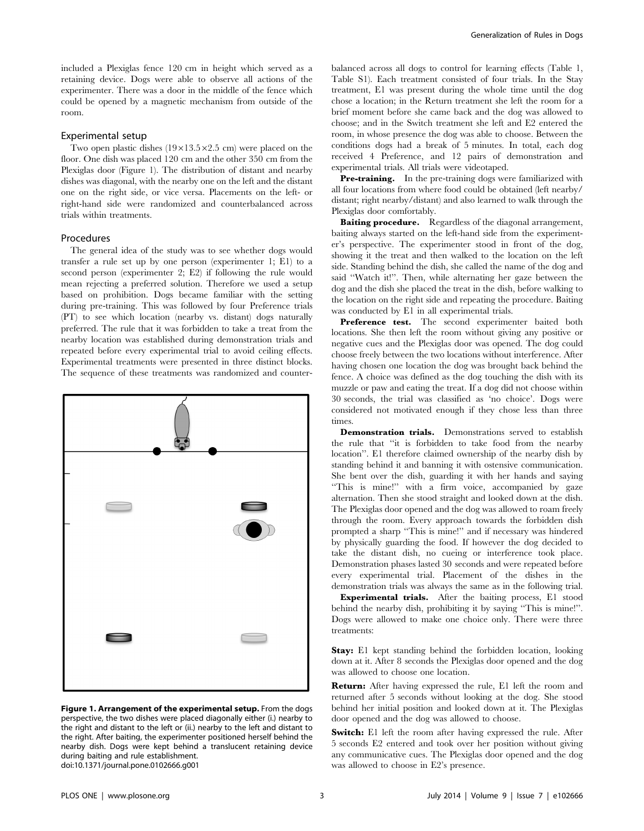included a Plexiglas fence 120 cm in height which served as a retaining device. Dogs were able to observe all actions of the experimenter. There was a door in the middle of the fence which could be opened by a magnetic mechanism from outside of the room.

## Experimental setup

Two open plastic dishes  $(19\times13.5\times2.5$  cm) were placed on the floor. One dish was placed 120 cm and the other 350 cm from the Plexiglas door (Figure 1). The distribution of distant and nearby dishes was diagonal, with the nearby one on the left and the distant one on the right side, or vice versa. Placements on the left- or right-hand side were randomized and counterbalanced across trials within treatments.

#### Procedures

The general idea of the study was to see whether dogs would transfer a rule set up by one person (experimenter 1; E1) to a second person (experimenter 2; E2) if following the rule would mean rejecting a preferred solution. Therefore we used a setup based on prohibition. Dogs became familiar with the setting during pre-training. This was followed by four Preference trials (PT) to see which location (nearby vs. distant) dogs naturally preferred. The rule that it was forbidden to take a treat from the nearby location was established during demonstration trials and repeated before every experimental trial to avoid ceiling effects. Experimental treatments were presented in three distinct blocks. The sequence of these treatments was randomized and counter-



Figure 1. Arrangement of the experimental setup. From the dogs perspective, the two dishes were placed diagonally either (i.) nearby to the right and distant to the left or (ii.) nearby to the left and distant to the right. After baiting, the experimenter positioned herself behind the nearby dish. Dogs were kept behind a translucent retaining device during baiting and rule establishment. doi:10.1371/journal.pone.0102666.g001

balanced across all dogs to control for learning effects (Table 1, Table S1). Each treatment consisted of four trials. In the Stay treatment, E1 was present during the whole time until the dog chose a location; in the Return treatment she left the room for a brief moment before she came back and the dog was allowed to choose; and in the Switch treatment she left and E2 entered the room, in whose presence the dog was able to choose. Between the conditions dogs had a break of 5 minutes. In total, each dog received 4 Preference, and 12 pairs of demonstration and experimental trials. All trials were videotaped.

Pre-training. In the pre-training dogs were familiarized with all four locations from where food could be obtained (left nearby/ distant; right nearby/distant) and also learned to walk through the Plexiglas door comfortably.

Baiting procedure. Regardless of the diagonal arrangement, baiting always started on the left-hand side from the experimenter's perspective. The experimenter stood in front of the dog, showing it the treat and then walked to the location on the left side. Standing behind the dish, she called the name of the dog and said ''Watch it!''. Then, while alternating her gaze between the dog and the dish she placed the treat in the dish, before walking to the location on the right side and repeating the procedure. Baiting was conducted by E1 in all experimental trials.

Preference test. The second experimenter baited both locations. She then left the room without giving any positive or negative cues and the Plexiglas door was opened. The dog could choose freely between the two locations without interference. After having chosen one location the dog was brought back behind the fence. A choice was defined as the dog touching the dish with its muzzle or paw and eating the treat. If a dog did not choose within 30 seconds, the trial was classified as 'no choice'. Dogs were considered not motivated enough if they chose less than three times.

Demonstration trials. Demonstrations served to establish the rule that ''it is forbidden to take food from the nearby location''. E1 therefore claimed ownership of the nearby dish by standing behind it and banning it with ostensive communication. She bent over the dish, guarding it with her hands and saying ''This is mine!'' with a firm voice, accompanied by gaze alternation. Then she stood straight and looked down at the dish. The Plexiglas door opened and the dog was allowed to roam freely through the room. Every approach towards the forbidden dish prompted a sharp ''This is mine!'' and if necessary was hindered by physically guarding the food. If however the dog decided to take the distant dish, no cueing or interference took place. Demonstration phases lasted 30 seconds and were repeated before every experimental trial. Placement of the dishes in the demonstration trials was always the same as in the following trial.

Experimental trials. After the baiting process, E1 stood behind the nearby dish, prohibiting it by saying ''This is mine!''. Dogs were allowed to make one choice only. There were three treatments:

Stay: E1 kept standing behind the forbidden location, looking down at it. After 8 seconds the Plexiglas door opened and the dog was allowed to choose one location.

Return: After having expressed the rule, E1 left the room and returned after 5 seconds without looking at the dog. She stood behind her initial position and looked down at it. The Plexiglas door opened and the dog was allowed to choose.

Switch: E1 left the room after having expressed the rule. After 5 seconds E2 entered and took over her position without giving any communicative cues. The Plexiglas door opened and the dog was allowed to choose in E2's presence.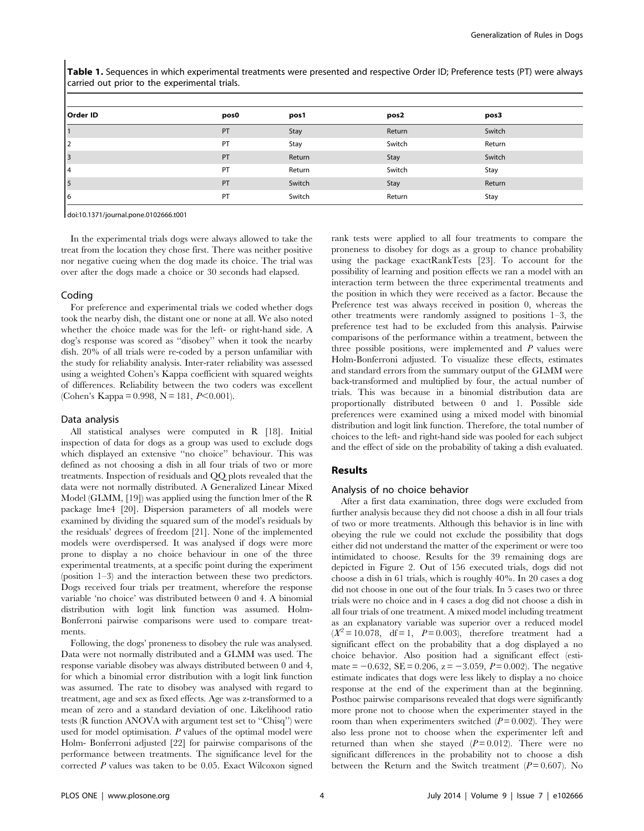Table 1. Sequences in which experimental treatments were presented and respective Order ID; Preference tests (PT) were always carried out prior to the experimental trials.

| Order ID | pos0 | pos1   | pos <sub>2</sub> | pos3   |
|----------|------|--------|------------------|--------|
|          | PT   | Stay   | Return           | Switch |
| 2        | PT   | Stay   | Switch           | Return |
|          | PT   | Return | Stay             | Switch |
| 14       | PT   | Return | Switch           | Stay   |
| 15       | PT   | Switch | Stay             | Return |
| 16       | PT   | Switch | Return           | Stay   |

doi:10.1371/journal.pone.0102666.t001

In the experimental trials dogs were always allowed to take the treat from the location they chose first. There was neither positive nor negative cueing when the dog made its choice. The trial was over after the dogs made a choice or 30 seconds had elapsed.

## Coding

For preference and experimental trials we coded whether dogs took the nearby dish, the distant one or none at all. We also noted whether the choice made was for the left- or right-hand side. A dog's response was scored as ''disobey'' when it took the nearby dish. 20% of all trials were re-coded by a person unfamiliar with the study for reliability analysis. Inter-rater reliability was assessed using a weighted Cohen's Kappa coefficient with squared weights of differences. Reliability between the two coders was excellent (Cohen's Kappa = 0.998, N = 181,  $P<0.001$ ).

## Data analysis

All statistical analyses were computed in R [18]. Initial inspection of data for dogs as a group was used to exclude dogs which displayed an extensive ''no choice'' behaviour. This was defined as not choosing a dish in all four trials of two or more treatments. Inspection of residuals and QQ plots revealed that the data were not normally distributed. A Generalized Linear Mixed Model (GLMM, [19]) was applied using the function lmer of the R package lme4 [20]. Dispersion parameters of all models were examined by dividing the squared sum of the model's residuals by the residuals' degrees of freedom [21]. None of the implemented models were overdispersed. It was analysed if dogs were more prone to display a no choice behaviour in one of the three experimental treatments, at a specific point during the experiment (position 1–3) and the interaction between these two predictors. Dogs received four trials per treatment, wherefore the response variable 'no choice' was distributed between 0 and 4. A binomial distribution with logit link function was assumed. Holm-Bonferroni pairwise comparisons were used to compare treatments.

Following, the dogs' proneness to disobey the rule was analysed. Data were not normally distributed and a GLMM was used. The response variable disobey was always distributed between 0 and 4, for which a binomial error distribution with a logit link function was assumed. The rate to disobey was analysed with regard to treatment, age and sex as fixed effects. Age was z-transformed to a mean of zero and a standard deviation of one. Likelihood ratio tests (R function ANOVA with argument test set to ''Chisq'') were used for model optimisation. P values of the optimal model were Holm- Bonferroni adjusted [22] for pairwise comparisons of the performance between treatments. The significance level for the corrected P values was taken to be 0.05. Exact Wilcoxon signed rank tests were applied to all four treatments to compare the proneness to disobey for dogs as a group to chance probability using the package exactRankTests [23]. To account for the possibility of learning and position effects we ran a model with an interaction term between the three experimental treatments and the position in which they were received as a factor. Because the Preference test was always received in position 0, whereas the other treatments were randomly assigned to positions 1–3, the preference test had to be excluded from this analysis. Pairwise comparisons of the performance within a treatment, between the three possible positions, were implemented and  $P$  values were Holm-Bonferroni adjusted. To visualize these effects, estimates and standard errors from the summary output of the GLMM were back-transformed and multiplied by four, the actual number of trials. This was because in a binomial distribution data are proportionally distributed between 0 and 1. Possible side preferences were examined using a mixed model with binomial distribution and logit link function. Therefore, the total number of choices to the left- and right-hand side was pooled for each subject and the effect of side on the probability of taking a dish evaluated.

# Results

# Analysis of no choice behavior

After a first data examination, three dogs were excluded from further analysis because they did not choose a dish in all four trials of two or more treatments. Although this behavior is in line with obeying the rule we could not exclude the possibility that dogs either did not understand the matter of the experiment or were too intimidated to choose. Results for the 39 remaining dogs are depicted in Figure 2. Out of 156 executed trials, dogs did not choose a dish in 61 trials, which is roughly 40%. In 20 cases a dog did not choose in one out of the four trials. In 5 cases two or three trials were no choice and in 4 cases a dog did not choose a dish in all four trials of one treatment. A mixed model including treatment as an explanatory variable was superior over a reduced model  $(X^2 = 10.078, df = 1, P = 0.003)$ , therefore treatment had a significant effect on the probability that a dog displayed a no choice behavior. Also position had a significant effect (estimate  $= -0.632$ , SE  $= 0.206$ ,  $z = -3.059$ ,  $P = 0.002$ ). The negative estimate indicates that dogs were less likely to display a no choice response at the end of the experiment than at the beginning. Posthoc pairwise comparisons revealed that dogs were significantly more prone not to choose when the experimenter stayed in the room than when experimenters switched  $(P=0.002)$ . They were also less prone not to choose when the experimenter left and returned than when she stayed  $(P=0.012)$ . There were no significant differences in the probability not to choose a dish between the Return and the Switch treatment  $(P=0.607)$ . No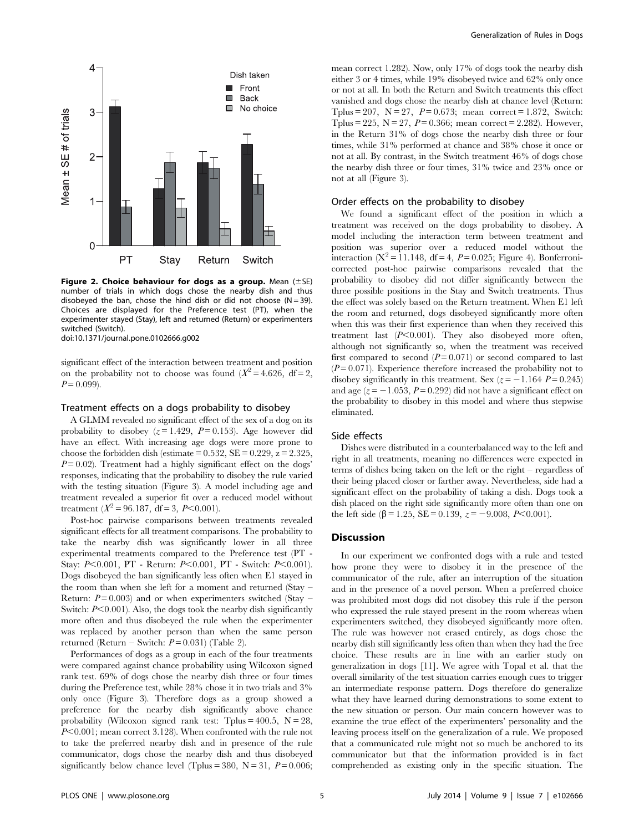

Figure 2. Choice behaviour for dogs as a group. Mean  $(\pm SE)$ number of trials in which dogs chose the nearby dish and thus disobeyed the ban, chose the hind dish or did not choose ( $N = 39$ ). Choices are displayed for the Preference test (PT), when the experimenter stayed (Stay), left and returned (Return) or experimenters switched (Switch). doi:10.1371/journal.pone.0102666.g002

significant effect of the interaction between treatment and position on the probability not to choose was found  $(X^2 = 4.626, df = 2,$ 

#### Treatment effects on a dogs probability to disobey

 $P = 0.099$ ).

A GLMM revealed no significant effect of the sex of a dog on its probability to disobey ( $z = 1.429$ ,  $P = 0.153$ ). Age however did have an effect. With increasing age dogs were more prone to choose the forbidden dish (estimate  $= 0.532$ ,  $SE = 0.229$ ,  $z = 2.325$ ,  $P = 0.02$ ). Treatment had a highly significant effect on the dogs' responses, indicating that the probability to disobey the rule varied with the testing situation (Figure 3). A model including age and treatment revealed a superior fit over a reduced model without treatment  $(X^2 = 96.187, df = 3, P < 0.001)$ .

Post-hoc pairwise comparisons between treatments revealed significant effects for all treatment comparisons. The probability to take the nearby dish was significantly lower in all three experimental treatments compared to the Preference test (PT - Stay:  $P<0.001$ , PT - Return:  $P<0.001$ , PT - Switch:  $P<0.001$ ). Dogs disobeyed the ban significantly less often when E1 stayed in the room than when she left for a moment and returned (Stay – Return:  $P = 0.003$ ) and or when experimenters switched (Stay – Switch:  $P<0.001$ ). Also, the dogs took the nearby dish significantly more often and thus disobeyed the rule when the experimenter was replaced by another person than when the same person returned (Return – Switch:  $P = 0.031$ ) (Table 2).

Performances of dogs as a group in each of the four treatments were compared against chance probability using Wilcoxon signed rank test. 69% of dogs chose the nearby dish three or four times during the Preference test, while 28% chose it in two trials and 3% only once (Figure 3). Therefore dogs as a group showed a preference for the nearby dish significantly above chance probability (Wilcoxon signed rank test: Tplus =  $400.5$ , N =  $28$ ,  $P<0.001$ ; mean correct 3.128). When confronted with the rule not to take the preferred nearby dish and in presence of the rule communicator, dogs chose the nearby dish and thus disobeyed significantly below chance level (Tplus = 380,  $N = 31$ ,  $P = 0.006$ ; mean correct 1.282). Now, only 17% of dogs took the nearby dish either 3 or 4 times, while 19% disobeyed twice and 62% only once or not at all. In both the Return and Switch treatments this effect vanished and dogs chose the nearby dish at chance level (Return: Tplus = 207,  $N = 27$ ,  $P = 0.673$ ; mean correct = 1.872, Switch: Tplus = 225,  $N = 27$ ,  $P = 0.366$ ; mean correct = 2.282). However, in the Return 31% of dogs chose the nearby dish three or four times, while 31% performed at chance and 38% chose it once or not at all. By contrast, in the Switch treatment 46% of dogs chose the nearby dish three or four times, 31% twice and 23% once or not at all (Figure 3).

## Order effects on the probability to disobey

We found a significant effect of the position in which a treatment was received on the dogs probability to disobey. A model including the interaction term between treatment and position was superior over a reduced model without the interaction ( $X^2$  = 11.148, df = 4, P = 0.025; Figure 4). Bonferronicorrected post-hoc pairwise comparisons revealed that the probability to disobey did not differ significantly between the three possible positions in the Stay and Switch treatments. Thus the effect was solely based on the Return treatment. When E1 left the room and returned, dogs disobeyed significantly more often when this was their first experience than when they received this treatment last  $(P<0.001)$ . They also disobeyed more often, although not significantly so, when the treatment was received first compared to second  $(P=0.071)$  or second compared to last  $(P=0.071)$ . Experience therefore increased the probability not to disobey significantly in this treatment. Sex  $(z = -1.164 P = 0.245)$ and age  $(z = -1.053, P = 0.292)$  did not have a significant effect on the probability to disobey in this model and where thus stepwise eliminated.

## Side effects

Dishes were distributed in a counterbalanced way to the left and right in all treatments, meaning no differences were expected in terms of dishes being taken on the left or the right – regardless of their being placed closer or farther away. Nevertheless, side had a significant effect on the probability of taking a dish. Dogs took a dish placed on the right side significantly more often than one on the left side ( $\beta$  = 1.25, SE = 0.139,  $z$  = -9.008, P<0.001).

# Discussion

In our experiment we confronted dogs with a rule and tested how prone they were to disobey it in the presence of the communicator of the rule, after an interruption of the situation and in the presence of a novel person. When a preferred choice was prohibited most dogs did not disobey this rule if the person who expressed the rule stayed present in the room whereas when experimenters switched, they disobeyed significantly more often. The rule was however not erased entirely, as dogs chose the nearby dish still significantly less often than when they had the free choice. These results are in line with an earlier study on generalization in dogs [11]. We agree with Topal et al. that the overall similarity of the test situation carries enough cues to trigger an intermediate response pattern. Dogs therefore do generalize what they have learned during demonstrations to some extent to the new situation or person. Our main concern however was to examine the true effect of the experimenters' personality and the leaving process itself on the generalization of a rule. We proposed that a communicated rule might not so much be anchored to its communicator but that the information provided is in fact comprehended as existing only in the specific situation. The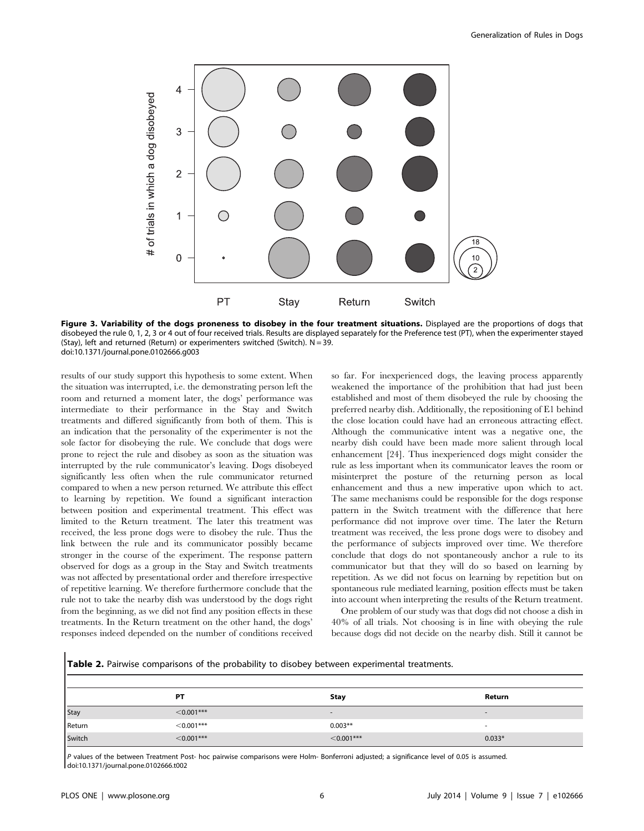

Figure 3. Variability of the dogs proneness to disobey in the four treatment situations. Displayed are the proportions of dogs that disobeyed the rule 0, 1, 2, 3 or 4 out of four received trials. Results are displayed separately for the Preference test (PT), when the experimenter stayed (Stay), left and returned (Return) or experimenters switched (Switch).  $N = 39$ . doi:10.1371/journal.pone.0102666.g003

results of our study support this hypothesis to some extent. When the situation was interrupted, i.e. the demonstrating person left the room and returned a moment later, the dogs' performance was intermediate to their performance in the Stay and Switch treatments and differed significantly from both of them. This is an indication that the personality of the experimenter is not the sole factor for disobeying the rule. We conclude that dogs were prone to reject the rule and disobey as soon as the situation was interrupted by the rule communicator's leaving. Dogs disobeyed significantly less often when the rule communicator returned compared to when a new person returned. We attribute this effect to learning by repetition. We found a significant interaction between position and experimental treatment. This effect was limited to the Return treatment. The later this treatment was received, the less prone dogs were to disobey the rule. Thus the link between the rule and its communicator possibly became stronger in the course of the experiment. The response pattern observed for dogs as a group in the Stay and Switch treatments was not affected by presentational order and therefore irrespective of repetitive learning. We therefore furthermore conclude that the rule not to take the nearby dish was understood by the dogs right from the beginning, as we did not find any position effects in these treatments. In the Return treatment on the other hand, the dogs' responses indeed depended on the number of conditions received

so far. For inexperienced dogs, the leaving process apparently weakened the importance of the prohibition that had just been established and most of them disobeyed the rule by choosing the preferred nearby dish. Additionally, the repositioning of E1 behind the close location could have had an erroneous attracting effect. Although the communicative intent was a negative one, the nearby dish could have been made more salient through local enhancement [24]. Thus inexperienced dogs might consider the rule as less important when its communicator leaves the room or misinterpret the posture of the returning person as local enhancement and thus a new imperative upon which to act. The same mechanisms could be responsible for the dogs response pattern in the Switch treatment with the difference that here performance did not improve over time. The later the Return treatment was received, the less prone dogs were to disobey and the performance of subjects improved over time. We therefore conclude that dogs do not spontaneously anchor a rule to its communicator but that they will do so based on learning by repetition. As we did not focus on learning by repetition but on spontaneous rule mediated learning, position effects must be taken into account when interpreting the results of the Return treatment.

One problem of our study was that dogs did not choose a dish in 40% of all trials. Not choosing is in line with obeying the rule because dogs did not decide on the nearby dish. Still it cannot be

Table 2. Pairwise comparisons of the probability to disobey between experimental treatments.

|                  | <b>PT</b>    | Stay         | Return   |
|------------------|--------------|--------------|----------|
| Stay             | $<$ 0.001*** | $\sim$       | $\sim$   |
| Return<br>Switch | $<$ 0.001*** | $0.003**$    | $\sim$   |
|                  | $<$ 0.001*** | $<$ 0.001*** | $0.033*$ |

P values of the between Treatment Post- hoc pairwise comparisons were Holm- Bonferroni adjusted; a significance level of 0.05 is assumed. doi:10.1371/journal.pone.0102666.t002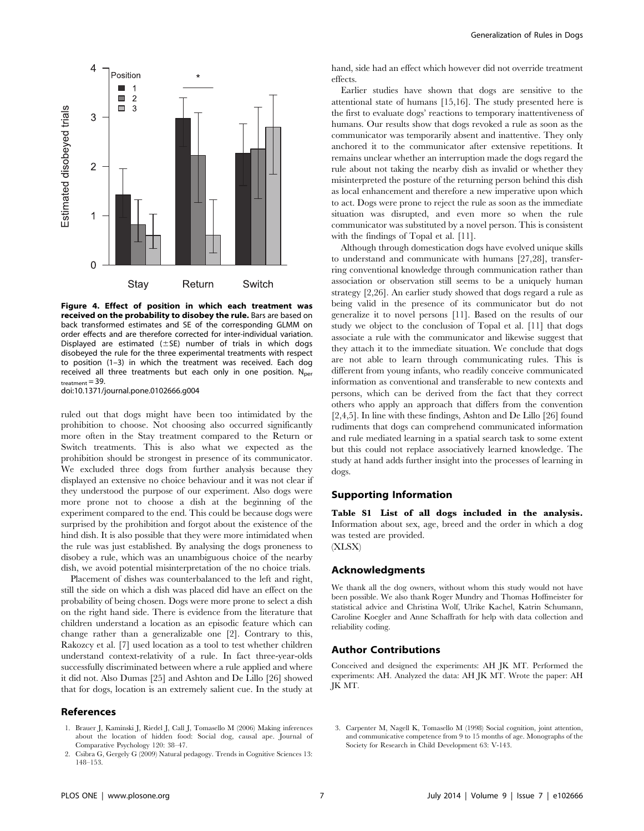

Figure 4. Effect of position in which each treatment was received on the probability to disobey the rule. Bars are based on back transformed estimates and SE of the corresponding GLMM on order effects and are therefore corrected for inter-individual variation. Displayed are estimated  $(\pm$ SE) number of trials in which dogs disobeyed the rule for the three experimental treatments with respect to position (1–3) in which the treatment was received. Each dog received all three treatments but each only in one position.  $N_{\text{per}}$  $t$ reatment  $=$  39.

doi:10.1371/journal.pone.0102666.g004

ruled out that dogs might have been too intimidated by the prohibition to choose. Not choosing also occurred significantly more often in the Stay treatment compared to the Return or Switch treatments. This is also what we expected as the prohibition should be strongest in presence of its communicator. We excluded three dogs from further analysis because they displayed an extensive no choice behaviour and it was not clear if they understood the purpose of our experiment. Also dogs were more prone not to choose a dish at the beginning of the experiment compared to the end. This could be because dogs were surprised by the prohibition and forgot about the existence of the hind dish. It is also possible that they were more intimidated when the rule was just established. By analysing the dogs proneness to disobey a rule, which was an unambiguous choice of the nearby dish, we avoid potential misinterpretation of the no choice trials.

Placement of dishes was counterbalanced to the left and right, still the side on which a dish was placed did have an effect on the probability of being chosen. Dogs were more prone to select a dish on the right hand side. There is evidence from the literature that children understand a location as an episodic feature which can change rather than a generalizable one [2]. Contrary to this, Rakozcy et al. [7] used location as a tool to test whether children understand context-relativity of a rule. In fact three-year-olds successfully discriminated between where a rule applied and where it did not. Also Dumas [25] and Ashton and De Lillo [26] showed that for dogs, location is an extremely salient cue. In the study at

## References

1. Brauer J, Kaminski J, Riedel J, Call J, Tomasello M (2006) Making inferences about the location of hidden food: Social dog, causal ape. Journal of Comparative Psychology 120: 38–47.

hand, side had an effect which however did not override treatment effects.

Earlier studies have shown that dogs are sensitive to the attentional state of humans [15,16]. The study presented here is the first to evaluate dogs' reactions to temporary inattentiveness of humans. Our results show that dogs revoked a rule as soon as the communicator was temporarily absent and inattentive. They only anchored it to the communicator after extensive repetitions. It remains unclear whether an interruption made the dogs regard the rule about not taking the nearby dish as invalid or whether they misinterpreted the posture of the returning person behind this dish as local enhancement and therefore a new imperative upon which to act. Dogs were prone to reject the rule as soon as the immediate situation was disrupted, and even more so when the rule communicator was substituted by a novel person. This is consistent with the findings of Topal et al. [11].

Although through domestication dogs have evolved unique skills to understand and communicate with humans [27,28], transferring conventional knowledge through communication rather than association or observation still seems to be a uniquely human strategy [2,26]. An earlier study showed that dogs regard a rule as being valid in the presence of its communicator but do not generalize it to novel persons [11]. Based on the results of our study we object to the conclusion of Topal et al. [11] that dogs associate a rule with the communicator and likewise suggest that they attach it to the immediate situation. We conclude that dogs are not able to learn through communicating rules. This is different from young infants, who readily conceive communicated information as conventional and transferable to new contexts and persons, which can be derived from the fact that they correct others who apply an approach that differs from the convention [2,4,5]. In line with these findings, Ashton and De Lillo [26] found rudiments that dogs can comprehend communicated information and rule mediated learning in a spatial search task to some extent but this could not replace associatively learned knowledge. The study at hand adds further insight into the processes of learning in dogs.

## Supporting Information

Table S1 List of all dogs included in the analysis. Information about sex, age, breed and the order in which a dog was tested are provided. (XLSX)

### Acknowledgments

We thank all the dog owners, without whom this study would not have been possible. We also thank Roger Mundry and Thomas Hoffmeister for statistical advice and Christina Wolf, Ulrike Kachel, Katrin Schumann, Caroline Koegler and Anne Schaffrath for help with data collection and reliability coding.

## Author Contributions

Conceived and designed the experiments: AH JK MT. Performed the experiments: AH. Analyzed the data: AH JK MT. Wrote the paper: AH JK MT.

3. Carpenter M, Nagell K, Tomasello M (1998) Social cognition, joint attention, and communicative competence from 9 to 15 months of age. Monographs of the Society for Research in Child Development 63: V-143.